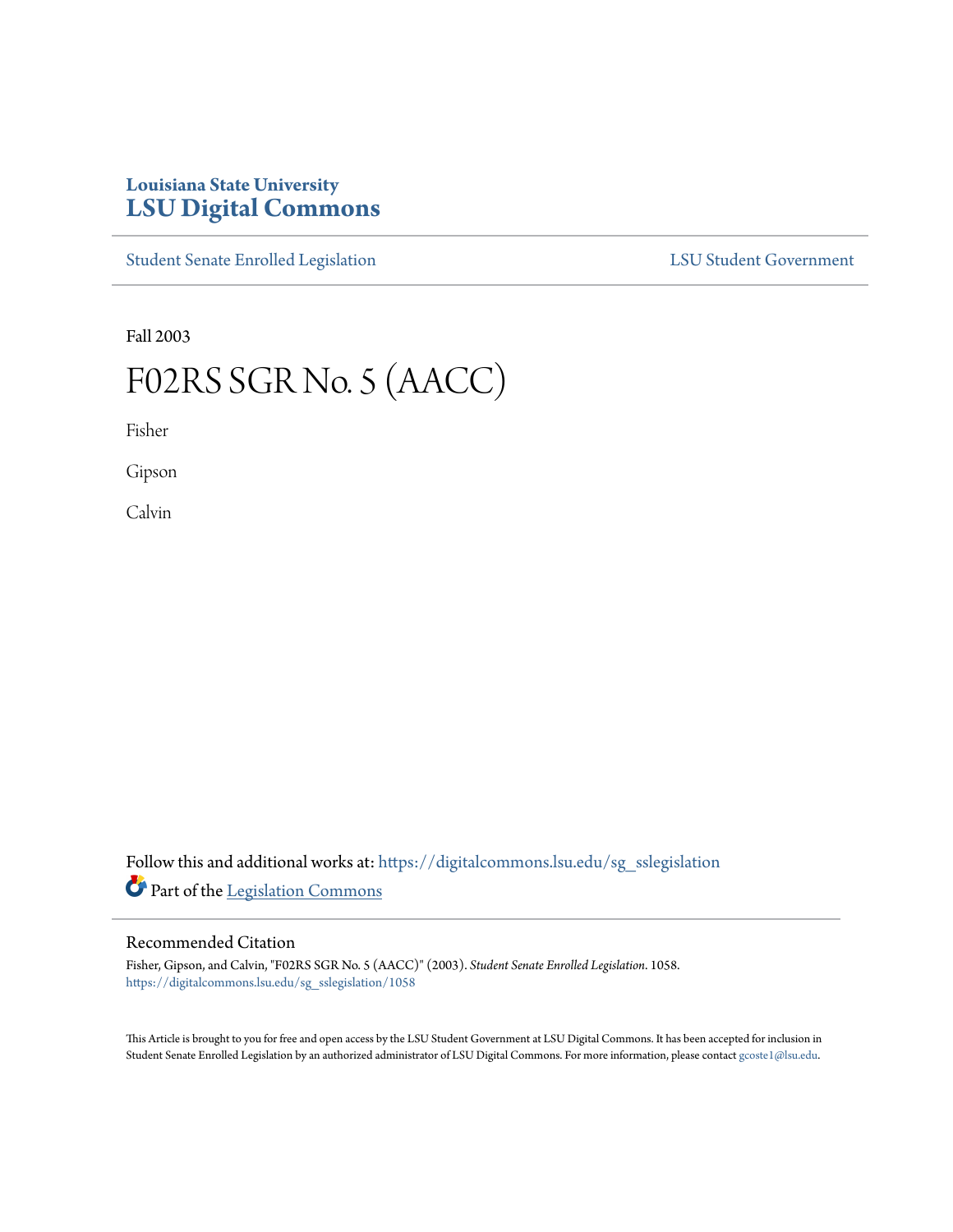## **Louisiana State University [LSU Digital Commons](https://digitalcommons.lsu.edu?utm_source=digitalcommons.lsu.edu%2Fsg_sslegislation%2F1058&utm_medium=PDF&utm_campaign=PDFCoverPages)**

[Student Senate Enrolled Legislation](https://digitalcommons.lsu.edu/sg_sslegislation?utm_source=digitalcommons.lsu.edu%2Fsg_sslegislation%2F1058&utm_medium=PDF&utm_campaign=PDFCoverPages) [LSU Student Government](https://digitalcommons.lsu.edu/sg?utm_source=digitalcommons.lsu.edu%2Fsg_sslegislation%2F1058&utm_medium=PDF&utm_campaign=PDFCoverPages)

Fall 2003

# F02RS SGR No. 5 (AACC)

Fisher

Gipson

Calvin

Follow this and additional works at: [https://digitalcommons.lsu.edu/sg\\_sslegislation](https://digitalcommons.lsu.edu/sg_sslegislation?utm_source=digitalcommons.lsu.edu%2Fsg_sslegislation%2F1058&utm_medium=PDF&utm_campaign=PDFCoverPages) Part of the [Legislation Commons](http://network.bepress.com/hgg/discipline/859?utm_source=digitalcommons.lsu.edu%2Fsg_sslegislation%2F1058&utm_medium=PDF&utm_campaign=PDFCoverPages)

### Recommended Citation

Fisher, Gipson, and Calvin, "F02RS SGR No. 5 (AACC)" (2003). *Student Senate Enrolled Legislation*. 1058. [https://digitalcommons.lsu.edu/sg\\_sslegislation/1058](https://digitalcommons.lsu.edu/sg_sslegislation/1058?utm_source=digitalcommons.lsu.edu%2Fsg_sslegislation%2F1058&utm_medium=PDF&utm_campaign=PDFCoverPages)

This Article is brought to you for free and open access by the LSU Student Government at LSU Digital Commons. It has been accepted for inclusion in Student Senate Enrolled Legislation by an authorized administrator of LSU Digital Commons. For more information, please contact [gcoste1@lsu.edu.](mailto:gcoste1@lsu.edu)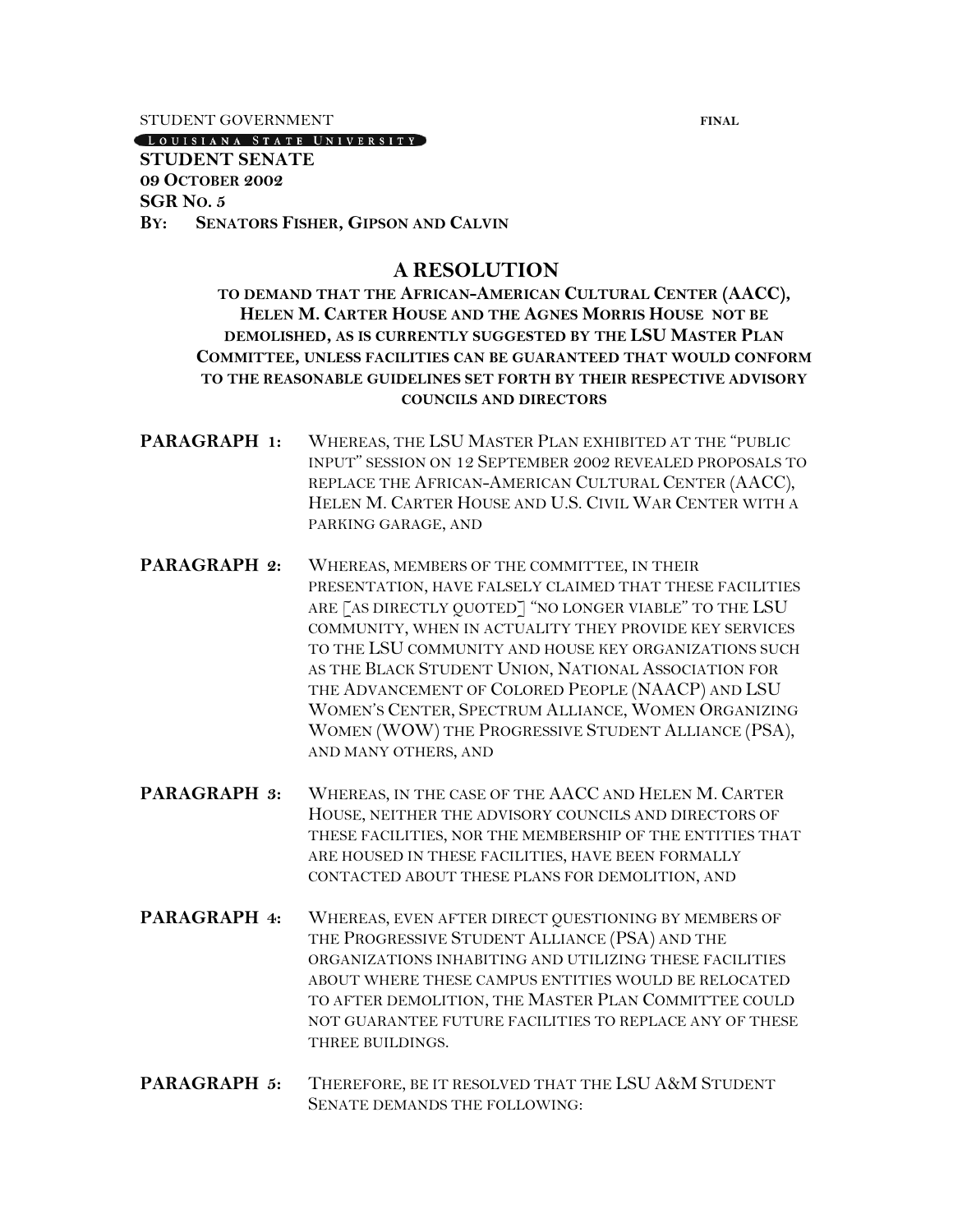STUDENT GOVERNMENT **FINAL** 

#### LOUISIANA STATE UNIVERSITY

## **STUDENT SENATE 09 OCTOBER 2002 SGR NO. 5 BY: SENATORS FISHER, GIPSON AND CALVIN**

## **A RESOLUTION**

**TO DEMAND THAT THE AFRICAN-AMERICAN CULTURAL CENTER (AACC), HELEN M. CARTER HOUSE AND THE AGNES MORRIS HOUSE NOT BE DEMOLISHED, AS IS CURRENTLY SUGGESTED BY THE LSU MASTER PLAN COMMITTEE, UNLESS FACILITIES CAN BE GUARANTEED THAT WOULD CONFORM TO THE REASONABLE GUIDELINES SET FORTH BY THEIR RESPECTIVE ADVISORY COUNCILS AND DIRECTORS**

- **PARAGRAPH 1:** WHEREAS, THE LSU MASTER PLAN EXHIBITED AT THE "PUBLIC INPUT" SESSION ON 12 SEPTEMBER 2002 REVEALED PROPOSALS TO REPLACE THE AFRICAN-AMERICAN CULTURAL CENTER (AACC), HELEN M. CARTER HOUSE AND U.S. CIVIL WAR CENTER WITH A PARKING GARAGE, AND
- **PARAGRAPH 2:** WHEREAS, MEMBERS OF THE COMMITTEE, IN THEIR PRESENTATION, HAVE FALSELY CLAIMED THAT THESE FACILITIES ARE [AS DIRECTLY QUOTED] "NO LONGER VIABLE" TO THE LSU COMMUNITY, WHEN IN ACTUALITY THEY PROVIDE KEY SERVICES TO THE LSU COMMUNITY AND HOUSE KEY ORGANIZATIONS SUCH AS THE BLACK STUDENT UNION, NATIONAL ASSOCIATION FOR THE ADVANCEMENT OF COLORED PEOPLE (NAACP) AND LSU WOMEN'S CENTER, SPECTRUM ALLIANCE, WOMEN ORGANIZING WOMEN (WOW) THE PROGRESSIVE STUDENT ALLIANCE (PSA), AND MANY OTHERS, AND
- **PARAGRAPH 3:** WHEREAS, IN THE CASE OF THE AACC AND HELEN M. CARTER HOUSE, NEITHER THE ADVISORY COUNCILS AND DIRECTORS OF THESE FACILITIES, NOR THE MEMBERSHIP OF THE ENTITIES THAT ARE HOUSED IN THESE FACILITIES, HAVE BEEN FORMALLY CONTACTED ABOUT THESE PLANS FOR DEMOLITION, AND
- **PARAGRAPH 4:** WHEREAS, EVEN AFTER DIRECT QUESTIONING BY MEMBERS OF THE PROGRESSIVE STUDENT ALLIANCE (PSA) AND THE ORGANIZATIONS INHABITING AND UTILIZING THESE FACILITIES ABOUT WHERE THESE CAMPUS ENTITIES WOULD BE RELOCATED TO AFTER DEMOLITION, THE MASTER PLAN COMMITTEE COULD NOT GUARANTEE FUTURE FACILITIES TO REPLACE ANY OF THESE THREE BUILDINGS.
- **PARAGRAPH 5:** THEREFORE, BE IT RESOLVED THAT THE LSU A&M STUDENT SENATE DEMANDS THE FOLLOWING: